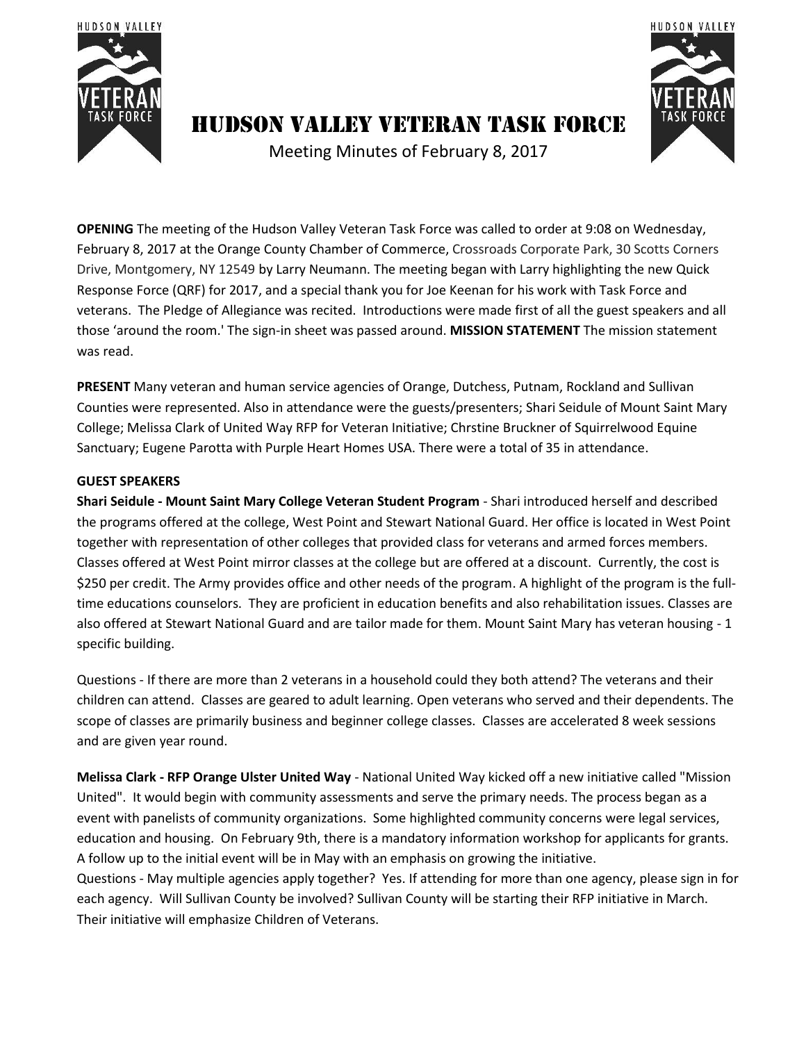



# Hudson Valley Veteran Task Force

Meeting Minutes of February 8, 2017

**OPENING** The meeting of the Hudson Valley Veteran Task Force was called to order at 9:08 on Wednesday, February 8, 2017 at the Orange County Chamber of Commerce, Crossroads Corporate Park, 30 Scotts Corners Drive, Montgomery, NY 12549 by Larry Neumann. The meeting began with Larry highlighting the new Quick Response Force (QRF) for 2017, and a special thank you for Joe Keenan for his work with Task Force and veterans. The Pledge of Allegiance was recited. Introductions were made first of all the guest speakers and all those 'around the room.' The sign-in sheet was passed around. **MISSION STATEMENT** The mission statement was read.

**PRESENT** Many veteran and human service agencies of Orange, Dutchess, Putnam, Rockland and Sullivan Counties were represented. Also in attendance were the guests/presenters; Shari Seidule of Mount Saint Mary College; Melissa Clark of United Way RFP for Veteran Initiative; Chrstine Bruckner of Squirrelwood Equine Sanctuary; Eugene Parotta with Purple Heart Homes USA. There were a total of 35 in attendance.

## **GUEST SPEAKERS**

**Shari Seidule - Mount Saint Mary College Veteran Student Program** - Shari introduced herself and described the programs offered at the college, West Point and Stewart National Guard. Her office is located in West Point together with representation of other colleges that provided class for veterans and armed forces members. Classes offered at West Point mirror classes at the college but are offered at a discount. Currently, the cost is \$250 per credit. The Army provides office and other needs of the program. A highlight of the program is the fulltime educations counselors. They are proficient in education benefits and also rehabilitation issues. Classes are also offered at Stewart National Guard and are tailor made for them. Mount Saint Mary has veteran housing - 1 specific building.

Questions - If there are more than 2 veterans in a household could they both attend? The veterans and their children can attend. Classes are geared to adult learning. Open veterans who served and their dependents. The scope of classes are primarily business and beginner college classes. Classes are accelerated 8 week sessions and are given year round.

**Melissa Clark - RFP Orange Ulster United Way** - National United Way kicked off a new initiative called "Mission United". It would begin with community assessments and serve the primary needs. The process began as a event with panelists of community organizations. Some highlighted community concerns were legal services, education and housing. On February 9th, there is a mandatory information workshop for applicants for grants. A follow up to the initial event will be in May with an emphasis on growing the initiative.

Questions - May multiple agencies apply together? Yes. If attending for more than one agency, please sign in for each agency. Will Sullivan County be involved? Sullivan County will be starting their RFP initiative in March. Their initiative will emphasize Children of Veterans.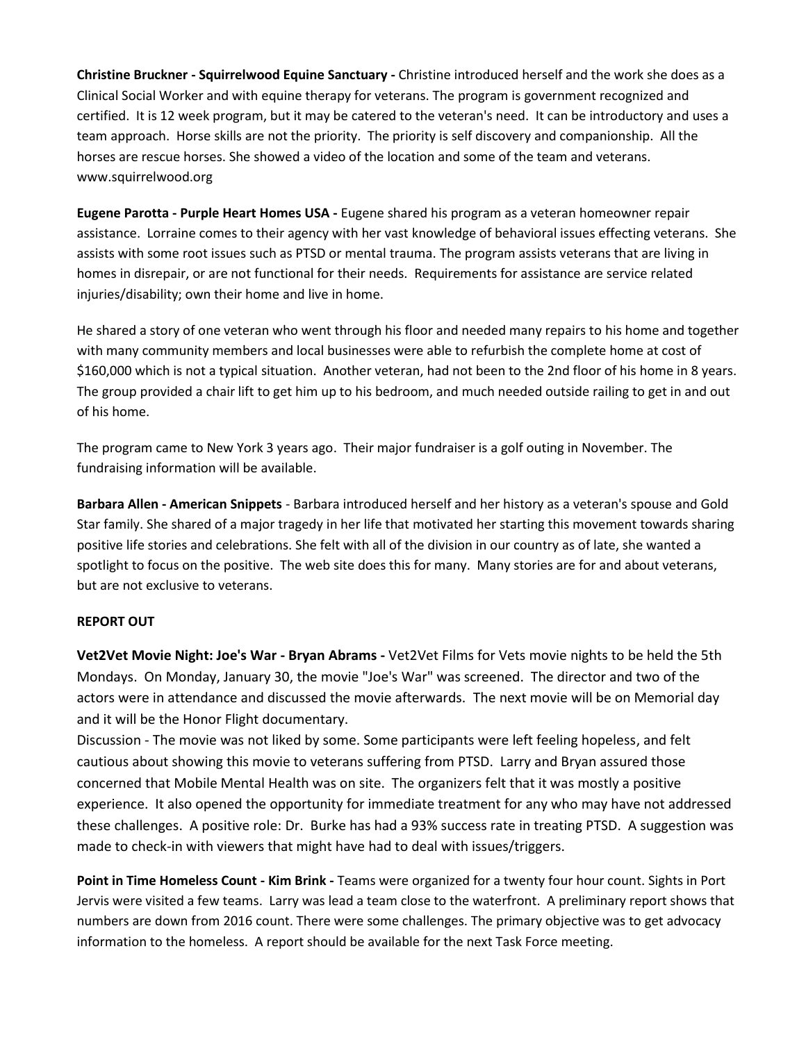**Christine Bruckner - Squirrelwood Equine Sanctuary -** Christine introduced herself and the work she does as a Clinical Social Worker and with equine therapy for veterans. The program is government recognized and certified. It is 12 week program, but it may be catered to the veteran's need. It can be introductory and uses a team approach. Horse skills are not the priority. The priority is self discovery and companionship. All the horses are rescue horses. She showed a video of the location and some of the team and veterans. www.squirrelwood.org

**Eugene Parotta - Purple Heart Homes USA -** Eugene shared his program as a veteran homeowner repair assistance. Lorraine comes to their agency with her vast knowledge of behavioral issues effecting veterans. She assists with some root issues such as PTSD or mental trauma. The program assists veterans that are living in homes in disrepair, or are not functional for their needs. Requirements for assistance are service related injuries/disability; own their home and live in home.

He shared a story of one veteran who went through his floor and needed many repairs to his home and together with many community members and local businesses were able to refurbish the complete home at cost of \$160,000 which is not a typical situation. Another veteran, had not been to the 2nd floor of his home in 8 years. The group provided a chair lift to get him up to his bedroom, and much needed outside railing to get in and out of his home.

The program came to New York 3 years ago. Their major fundraiser is a golf outing in November. The fundraising information will be available.

**Barbara Allen - American Snippets** - Barbara introduced herself and her history as a veteran's spouse and Gold Star family. She shared of a major tragedy in her life that motivated her starting this movement towards sharing positive life stories and celebrations. She felt with all of the division in our country as of late, she wanted a spotlight to focus on the positive. The web site does this for many. Many stories are for and about veterans, but are not exclusive to veterans.

#### **REPORT OUT**

**Vet2Vet Movie Night: Joe's War - Bryan Abrams -** Vet2Vet Films for Vets movie nights to be held the 5th Mondays. On Monday, January 30, the movie "Joe's War" was screened. The director and two of the actors were in attendance and discussed the movie afterwards. The next movie will be on Memorial day and it will be the Honor Flight documentary.

Discussion - The movie was not liked by some. Some participants were left feeling hopeless, and felt cautious about showing this movie to veterans suffering from PTSD. Larry and Bryan assured those concerned that Mobile Mental Health was on site. The organizers felt that it was mostly a positive experience. It also opened the opportunity for immediate treatment for any who may have not addressed these challenges. A positive role: Dr. Burke has had a 93% success rate in treating PTSD. A suggestion was made to check-in with viewers that might have had to deal with issues/triggers.

**Point in Time Homeless Count - Kim Brink -** Teams were organized for a twenty four hour count. Sights in Port Jervis were visited a few teams. Larry was lead a team close to the waterfront. A preliminary report shows that numbers are down from 2016 count. There were some challenges. The primary objective was to get advocacy information to the homeless. A report should be available for the next Task Force meeting.